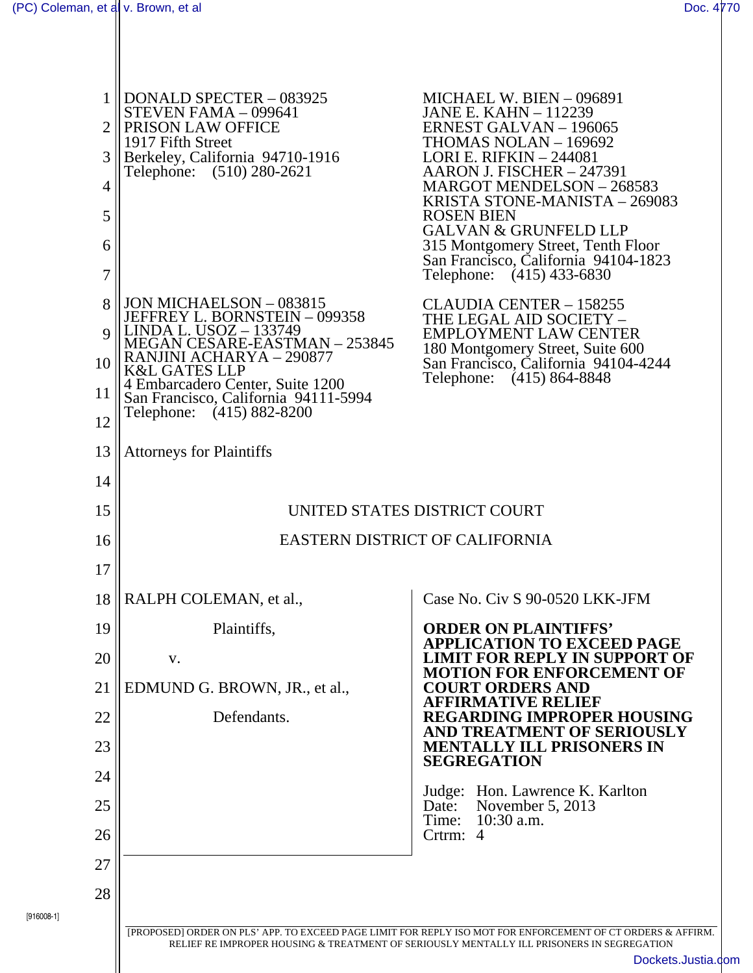[916008-1]

Ш

| 2<br>3<br>4<br>5<br>6<br>7 | <b>DONALD SPECTER - 083925</b><br>STEVEN FAMA - 099641<br>PRISON LAW OFFICE<br>1917 Fifth Street<br>Berkeley, California 94710-1916<br>Telephone: (510) 280-2621                                                                                                                                 | MICHAEL W. BIEN - 096891<br><b>JANE E. KAHN - 112239</b><br><b>ERNEST GALVAN - 196065</b><br>THOMAS NOLAN - 169692<br><b>LORI E. RIFKIN - 244081</b><br>AARON J. FISCHER - 247391<br>MARGOT MENDELSON - 268583<br>KRISTA STONE-MANISTA - 269083<br><b>ROSEN BIEN</b><br><b>GALVAN &amp; GRUNFELD LLP</b><br>315 Montgomery Street, Tenth Floor<br>San Francisco, California 94104-1823<br>Telephone: (415) 433-6830 |
|----------------------------|--------------------------------------------------------------------------------------------------------------------------------------------------------------------------------------------------------------------------------------------------------------------------------------------------|---------------------------------------------------------------------------------------------------------------------------------------------------------------------------------------------------------------------------------------------------------------------------------------------------------------------------------------------------------------------------------------------------------------------|
| 8<br>Q<br>10<br>11<br>12   | JON MICHAELSON - 083815<br>JEFFREY L. BORNSTEIN – 099358<br><u>LINDA L. USOZ – 133749</u><br><b>MEGAN CESARE-EASTMAN - 253845</b><br>NJINI ACHARYA - 290877<br><b>K&amp;L GATES LLP</b><br>4 Embarcadero Center, Suite 1200<br>San Francisco, California 94111-5994<br>Telephone: (415) 882-8200 | <b>CLAUDIA CENTER - 158255</b><br>THE LEGAL AID SOCIETY –<br><b>EMPLOYMENT LAW CENTER</b><br>180 Montgomery Street, Suite 600<br>San Francisco, California 94104-4244<br>Telephone: (415) 864-8848                                                                                                                                                                                                                  |
| 13                         | <b>Attorneys for Plaintiffs</b>                                                                                                                                                                                                                                                                  |                                                                                                                                                                                                                                                                                                                                                                                                                     |
| 14                         |                                                                                                                                                                                                                                                                                                  |                                                                                                                                                                                                                                                                                                                                                                                                                     |
| 15                         | UNITED STATES DISTRICT COURT                                                                                                                                                                                                                                                                     |                                                                                                                                                                                                                                                                                                                                                                                                                     |
| 16                         | <b>EASTERN DISTRICT OF CALIFORNIA</b>                                                                                                                                                                                                                                                            |                                                                                                                                                                                                                                                                                                                                                                                                                     |
| 17                         |                                                                                                                                                                                                                                                                                                  |                                                                                                                                                                                                                                                                                                                                                                                                                     |
| 18                         | RALPH COLEMAN, et al.,                                                                                                                                                                                                                                                                           | Case No. Civ S 90-0520 LKK-JFM                                                                                                                                                                                                                                                                                                                                                                                      |
| 19                         | Plaintiffs,                                                                                                                                                                                                                                                                                      | <b>ORDER ON PLAINTIFFS'</b><br>APPLICATION TO EXCEED PAGE                                                                                                                                                                                                                                                                                                                                                           |
| 20                         | V.                                                                                                                                                                                                                                                                                               | <b>LIMIT FOR REPLY IN SUPPORT OF</b><br><b>MOTION FOR ENFORCEMENT OF</b>                                                                                                                                                                                                                                                                                                                                            |
| 21                         | EDMUND G. BROWN, JR., et al.,                                                                                                                                                                                                                                                                    | <b>COURT ORDERS AND</b><br><b>AFFIRMATIVE RELIEF</b>                                                                                                                                                                                                                                                                                                                                                                |
| 22                         | Defendants.                                                                                                                                                                                                                                                                                      | <b>REGARDING IMPROPER HOUSING</b><br>AND TREATMENT OF SERIOUSLY                                                                                                                                                                                                                                                                                                                                                     |
| 23                         |                                                                                                                                                                                                                                                                                                  | <b>MENTALLY ILL PRISONERS IN</b><br><b>SEGREGATION</b>                                                                                                                                                                                                                                                                                                                                                              |
| 24                         |                                                                                                                                                                                                                                                                                                  | Hon. Lawrence K. Karlton<br>Judge:                                                                                                                                                                                                                                                                                                                                                                                  |
| 25                         |                                                                                                                                                                                                                                                                                                  | November 5, 2013<br>Date:<br>Time:<br>$10:30$ a.m.                                                                                                                                                                                                                                                                                                                                                                  |
| 26                         |                                                                                                                                                                                                                                                                                                  | Crtrm:<br>$\overline{4}$                                                                                                                                                                                                                                                                                                                                                                                            |
| 27                         |                                                                                                                                                                                                                                                                                                  |                                                                                                                                                                                                                                                                                                                                                                                                                     |
| 28                         |                                                                                                                                                                                                                                                                                                  |                                                                                                                                                                                                                                                                                                                                                                                                                     |
|                            |                                                                                                                                                                                                                                                                                                  | [PROPOSED] ORDER ON PLS' APP. TO EXCEED PAGE LIMIT FOR REPLY ISO MOT FOR ENFORCEMENT OF CT ORDERS & AFFIRM.<br>RELIEF RE IMPROPER HOUSING & TREATMENT OF SERIOUSLY MENTALLY ILL PRISONERS IN SEGREGATION                                                                                                                                                                                                            |